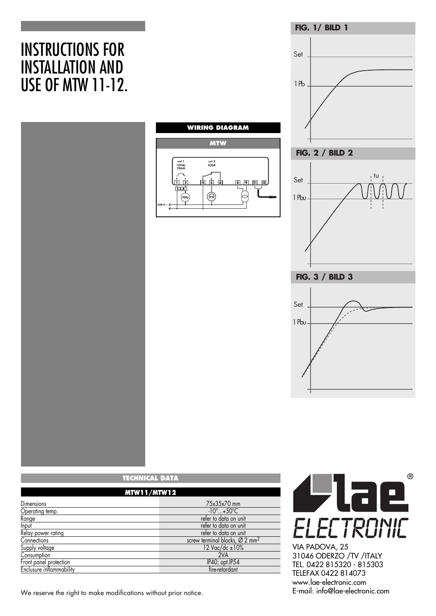# INSTRUCTIONS FOR INSTALLATION AND USE OF MTW 11-12.



| <b>TECHNICAL DATA</b>    |                                                        |  |
|--------------------------|--------------------------------------------------------|--|
| <b>MTW11/MTW12</b>       |                                                        |  |
| Dimensions               | 75x35x70 mm                                            |  |
| Operating temp.          | $-10^\circ$ +50 $\degree$ C                            |  |
| Range                    | refer to data on unit                                  |  |
| Input                    | refer to data on unit                                  |  |
| Relay power rating       | refer to data on unit                                  |  |
| Connections              | screw terminal blocks, $\varnothing$ 2 mm <sup>2</sup> |  |
| Supply voltage           | 12 Vac/dc ±10%                                         |  |
| Consumption              | 2VA                                                    |  |
| Front panel protection   | IP40; opt.IP54                                         |  |
| Enclusure inflammability | fire-retardant                                         |  |

We reserve the right to make modifications without prior notice.



**FIG. 1/ BILD 1**

Set

1 Pb

tu

VIA PADOVA, 25 31046 ODERZO /TV /ITALY TEL. 0422 815320 - 815303 TELEFAX 0422 814073 www.lae-electronic.com<br>E-mail: info@lae-electronic.com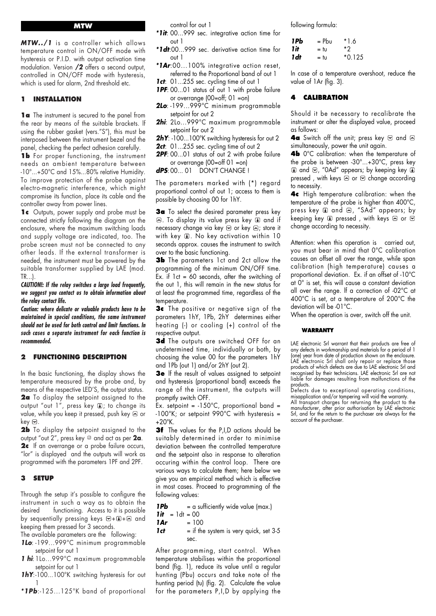#### **MTW**

*MTW../1* is a controller which allows temperature control in ON/OFF mode with hysteresis or P.I.D. with output activation time modulation. Version */2* offers a second output, controlled in ON/OFF mode with hysteresis, which is used for alarm, 2nd threshold etc.

## **1 INSTALLATION**

**1a** The instrument is secured to the panel from the rear by means of the suitable brackets. lf using the rubber gasket (vers."S"), this must be interposed between the instrument bezel and the panel, checking the perfect adhesion carefully.

**1b** For proper functioning, the instrument needs an ambient temperature between -10°...+50°C and 15%...80% relative Humidity. To improve protection of the probe against electro-magnetic interference, which might compromise its function, place its cable and the controller away from power lines.

**1c** Outputs, power supply and probe must be connected strictly following the diagram on the enclosure, where the maximum switching loads and supply voltage are indicated, too. The probe screen must not be connected to any other leads. If the external transformer is needed, the instrument must be powered by the suitable transformer supplied by LAE (mod. TR...).

*CAUTION!: If the relay switches a large load frequently, we suggest you contact us to obtain information about the relay contact life.*

*Caution: where delicate or valuable products have to be maintained in special conditions, the same instrument should not be used for both control and limit functions. In such cases a separate instrument for each function is recommended.*

# **2 FUNCTIONING DESCRIPTION**

In the basic functioning, the display shows the temperature measured by the probe and, by means of the respective LED'S, the output status. **2a** To display the setpoint assigned to the output "out  $1$ ", press key  $\bullet$ ; to change its value, while you keep it pressed, push key  $\Xi$  or key  $\Theta$ .

**2b** To display the setpoint assigned to the output "out 2", press key @ and act as per **2a**. **2c** If an overrange or a probe failure occurs, "lor" is displayed and the outputs will work as programmed with the parameters 1PF and 2PF.

## **3 SETUP**

Through the setup it's possible to configure the instrument in such a way as to obtain the desired functioning. Access to it is possible by sequentially pressing keys  $\boxdot$  +  $\Box$  +  $\boxdot$  and keeping them pressed for 3 seconds.

The available parameters are the following:

- *1Lo*: -199...999°C minimum programmable setpoint for out 1
- *1 hi*:1Lo...999°C maximum programmable setpoint for out 1
- *1hY*:-100...100°K switching hysteresis for out 1
- *\*1Pb*:-125...125°K band of proportional

control for out 1

- *\*1it*: 00...999 sec. integrative action time for out 1
- *\*1dt*:00...999 sec. derivative action time for out 1
- *\*1Ar*:00...100% integrative action reset, referred to the Proportional band of out 1
- **1ct**: 01...255 sec. cycling time of out 1 **1PF:** 00...01 status of out 1 with probe failure
- or overrange (00=off; 01 =on)
- *2Lo*: -199...999°C minimum programmable setpoint for out 2
- *2hi*: 2Lo...999°C maximum programmable setpoint for out 2

2hY: -100...100°K switching hysteresis for out 2

- *2ct*: 01...255 sec. cycling time of out 2
- *2PF*: 00...01 status of out 2 with probe failure or overrange (00=off 01 =on)
- *dPS*: 00... 01 DON'T CHANGE !

The parameters marked with (\*) regard proportional control of out 1; access to them is possible by choosing 00 for 1hY.

**3a** To select the desired parameter press key  $\Box$ . To display its value press key  $\Box$  and if necessary change via key  $\Xi$  or key  $\Xi$ ; store it with key  $\Box$ . No key activation within 10 seconds approx. causes the instrument to switch over to the basic functioning.

**3b** The parameters 1ct and 2ct allow the programming of the minimum ON/OFF time. Ex. if  $1ct = 60$  seconds, after the switching of the out 1, this will remain in the new status for at least the programmed time, regardless of the temperature.

**3c** The positive or negative sign of the parameters 1hY, 1Pb, 2hY determines either heating (-) or cooling (+) control of the respective output.

**3d** The outputs are switched OFF for an undetermined time, individually or both, by choosing the value 00 for the parameters 1hY and 1Pb (out 1) and/or 2hY (out 2).

**3e** If the result of values assigned to setpoint and hysteresis (proportional band) exceeds the range of the instrument, the outputs will promptly switch OFF.

Ex. setpoint =  $-150^{\circ}$ C, proportional band = -100°K; or setpoint 990°C with hysteresis =  $+20^{\circ}$ K.

**3f** The values for the P.I.D actions should be suitably determined in order to minimise deviation between the controlled temperature and the setpoint also in response to alteration occuring within the control loop. There are various ways to calculate them; here below we give you an empirical method which is effective in most cases. Proceed to programming of the following values:

- **1Pb** = a sufficiently wide value (max.)
- $1$ *it* = 1dt = 00
- *1Ar* = 100
- **1ct** = if the system is very quick, set 3-5 sec.

After programming, start control. When temperature stabilises within the proportional band (fig. 1), reduce its value until a regular hunting (Pbu) occurs and take note of the hunting period (tu) (fig. 2). Calculate the value for the parameters P,I,D by applying the

following formula:

| 1Pb  | = Pbu | *1.6     |
|------|-------|----------|
| 1 it | = tu  | *?       |
| 1 dt | = tu  | $*0.125$ |

In case of a temperature overshoot, reduce the value of 1Ar (fig. 3).

### **4 CALIBRATION**

Should it be necessary to recalibrate the instrument or alter the displayed value, proceed as follows:

**4a** Switch off the unit; press key and a simultaneously, power the unit again.

**4b** 0°C calibration: when the temperature of the probe is between -30°...+30°C, press key  $\Box$  and  $\Box$ , "OAd" appears; by keeping key  $\Box$ pressed, with keys  $\triangle$  or  $\triangle$  change according to necessity.

**4c** High temperature calibration: when the temperature of the probe is higher than 400°C, press key  $\Box$  and  $\Box$ , "SAd" appears; by keeping key  $\Box$  pressed, with keys  $\Box$  or  $\Box$ change according to necessity.

Attention: when this operation is carried out, you must bear in mind that 0°C calibration causes an offset all over the range, while span calibration (high temperature) causes a proportional deviation. Ex. if an offset of -10°C at  $0^\circ$  is set, this will cause a constant deviation all over the range. lf a correction of -02°C at 400°C is set, at a temperature of 200°C the deviation will be -01°C.

When the operation is over, switch off the unit.

#### **WARRANTY**

LAE electronic Srl warrant that their products are free of any defects in workmanship and materials for a period of 1 (one) year from date of production shown on the enclosure. LAE electronic Srl shall only repair or replace those products of which defects are due to LAE electronic Srl and recognised by their technicians. LAE electronic Srl are not liable for damages resulting from malfunctions of the products.

Defects due to exceptional operating conditions, misapplication and/or tampering will void the warranty.

All transport charges for returning the product to the manufacturer, after prior authorisation by LAE electronic Srl, and for the return to the purchaser are always for the account of the purchaser.